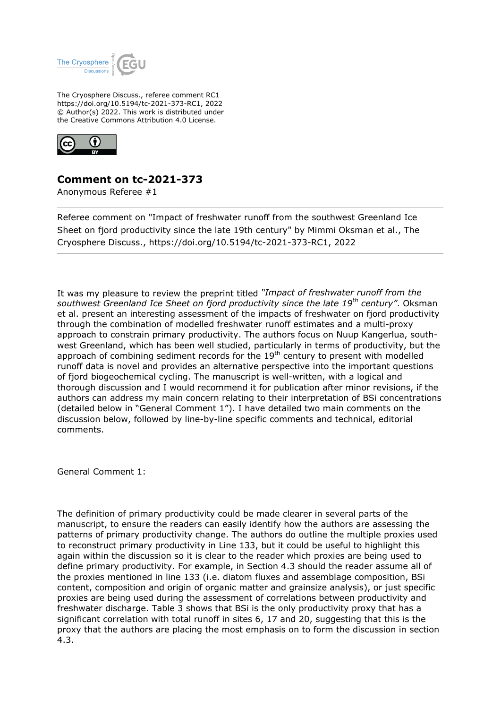

The Cryosphere Discuss., referee comment RC1 https://doi.org/10.5194/tc-2021-373-RC1, 2022 © Author(s) 2022. This work is distributed under the Creative Commons Attribution 4.0 License.



## **Comment on tc-2021-373**

Anonymous Referee #1

Referee comment on "Impact of freshwater runoff from the southwest Greenland Ice Sheet on fjord productivity since the late 19th century" by Mimmi Oksman et al., The Cryosphere Discuss., https://doi.org/10.5194/tc-2021-373-RC1, 2022

It was my pleasure to review the preprint titled *"Impact of freshwater runoff from the southwest Greenland Ice Sheet on fjord productivity since the late 19th century"*. Oksman et al. present an interesting assessment of the impacts of freshwater on fjord productivity through the combination of modelled freshwater runoff estimates and a multi-proxy approach to constrain primary productivity. The authors focus on Nuup Kangerlua, southwest Greenland, which has been well studied, particularly in terms of productivity, but the approach of combining sediment records for the  $19<sup>th</sup>$  century to present with modelled runoff data is novel and provides an alternative perspective into the important questions of fjord biogeochemical cycling. The manuscript is well-written, with a logical and thorough discussion and I would recommend it for publication after minor revisions, if the authors can address my main concern relating to their interpretation of BSi concentrations (detailed below in "General Comment 1"). I have detailed two main comments on the discussion below, followed by line-by-line specific comments and technical, editorial comments.

General Comment 1:

The definition of primary productivity could be made clearer in several parts of the manuscript, to ensure the readers can easily identify how the authors are assessing the patterns of primary productivity change. The authors do outline the multiple proxies used to reconstruct primary productivity in Line 133, but it could be useful to highlight this again within the discussion so it is clear to the reader which proxies are being used to define primary productivity. For example, in Section 4.3 should the reader assume all of the proxies mentioned in line 133 (i.e. diatom fluxes and assemblage composition, BSi content, composition and origin of organic matter and grainsize analysis), or just specific proxies are being used during the assessment of correlations between productivity and freshwater discharge. Table 3 shows that BSi is the only productivity proxy that has a significant correlation with total runoff in sites 6, 17 and 20, suggesting that this is the proxy that the authors are placing the most emphasis on to form the discussion in section 4.3.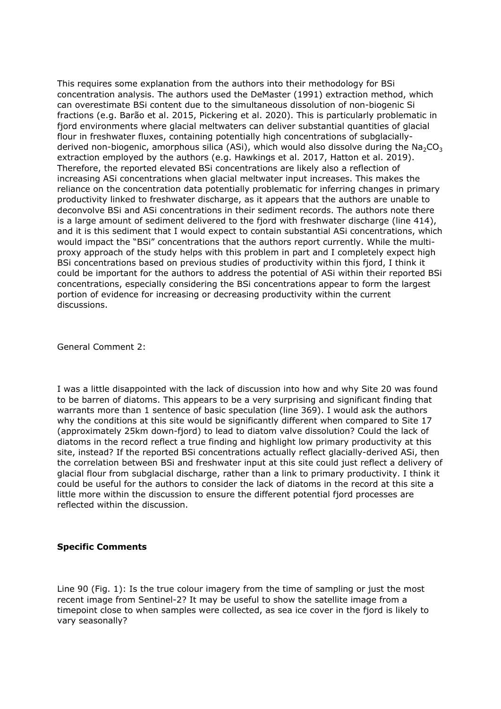This requires some explanation from the authors into their methodology for BSi concentration analysis. The authors used the DeMaster (1991) extraction method, which can overestimate BSi content due to the simultaneous dissolution of non-biogenic Si fractions (e.g. Barão et al. 2015, Pickering et al. 2020). This is particularly problematic in fjord environments where glacial meltwaters can deliver substantial quantities of glacial flour in freshwater fluxes, containing potentially high concentrations of subglaciallyderived non-biogenic, amorphous silica (ASi), which would also dissolve during the  $Na<sub>2</sub>CO<sub>3</sub>$ extraction employed by the authors (e.g. Hawkings et al. 2017, Hatton et al. 2019). Therefore, the reported elevated BSi concentrations are likely also a reflection of increasing ASi concentrations when glacial meltwater input increases. This makes the reliance on the concentration data potentially problematic for inferring changes in primary productivity linked to freshwater discharge, as it appears that the authors are unable to deconvolve BSi and ASi concentrations in their sediment records. The authors note there is a large amount of sediment delivered to the fjord with freshwater discharge (line 414), and it is this sediment that I would expect to contain substantial ASi concentrations, which would impact the "BSi" concentrations that the authors report currently. While the multiproxy approach of the study helps with this problem in part and I completely expect high BSi concentrations based on previous studies of productivity within this fjord, I think it could be important for the authors to address the potential of ASi within their reported BSi concentrations, especially considering the BSi concentrations appear to form the largest portion of evidence for increasing or decreasing productivity within the current discussions.

General Comment 2:

I was a little disappointed with the lack of discussion into how and why Site 20 was found to be barren of diatoms. This appears to be a very surprising and significant finding that warrants more than 1 sentence of basic speculation (line 369). I would ask the authors why the conditions at this site would be significantly different when compared to Site 17 (approximately 25km down-fjord) to lead to diatom valve dissolution? Could the lack of diatoms in the record reflect a true finding and highlight low primary productivity at this site, instead? If the reported BSi concentrations actually reflect glacially-derived ASi, then the correlation between BSi and freshwater input at this site could just reflect a delivery of glacial flour from subglacial discharge, rather than a link to primary productivity. I think it could be useful for the authors to consider the lack of diatoms in the record at this site a little more within the discussion to ensure the different potential fjord processes are reflected within the discussion.

## **Specific Comments**

Line 90 (Fig. 1): Is the true colour imagery from the time of sampling or just the most recent image from Sentinel-2? It may be useful to show the satellite image from a timepoint close to when samples were collected, as sea ice cover in the fjord is likely to vary seasonally?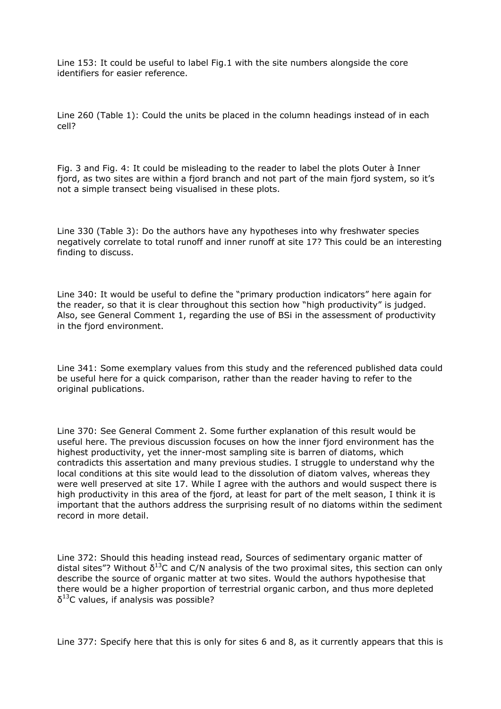Line 153: It could be useful to label Fig.1 with the site numbers alongside the core identifiers for easier reference.

Line 260 (Table 1): Could the units be placed in the column headings instead of in each cell?

Fig. 3 and Fig. 4: It could be misleading to the reader to label the plots Outer à Inner fjord, as two sites are within a fjord branch and not part of the main fjord system, so it's not a simple transect being visualised in these plots.

Line 330 (Table 3): Do the authors have any hypotheses into why freshwater species negatively correlate to total runoff and inner runoff at site 17? This could be an interesting finding to discuss.

Line 340: It would be useful to define the "primary production indicators" here again for the reader, so that it is clear throughout this section how "high productivity" is judged. Also, see General Comment 1, regarding the use of BSi in the assessment of productivity in the fjord environment.

Line 341: Some exemplary values from this study and the referenced published data could be useful here for a quick comparison, rather than the reader having to refer to the original publications.

Line 370: See General Comment 2. Some further explanation of this result would be useful here. The previous discussion focuses on how the inner fjord environment has the highest productivity, yet the inner-most sampling site is barren of diatoms, which contradicts this assertation and many previous studies. I struggle to understand why the local conditions at this site would lead to the dissolution of diatom valves, whereas they were well preserved at site 17. While I agree with the authors and would suspect there is high productivity in this area of the fjord, at least for part of the melt season, I think it is important that the authors address the surprising result of no diatoms within the sediment record in more detail.

Line 372: Should this heading instead read, Sources of sedimentary organic matter of distal sites"? Without  $\delta^{13}$ C and C/N analysis of the two proximal sites, this section can only describe the source of organic matter at two sites. Would the authors hypothesise that there would be a higher proportion of terrestrial organic carbon, and thus more depleted  $\delta^{13}$ C values, if analysis was possible?

Line 377: Specify here that this is only for sites 6 and 8, as it currently appears that this is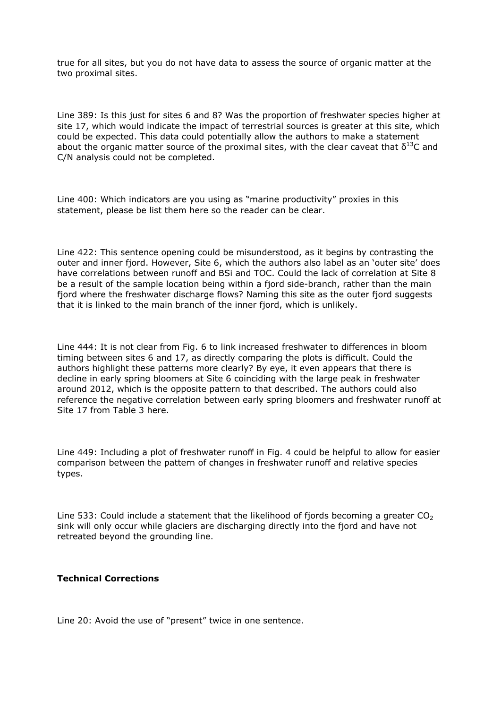true for all sites, but you do not have data to assess the source of organic matter at the two proximal sites.

Line 389: Is this just for sites 6 and 8? Was the proportion of freshwater species higher at site 17, which would indicate the impact of terrestrial sources is greater at this site, which could be expected. This data could potentially allow the authors to make a statement about the organic matter source of the proximal sites, with the clear caveat that  $\delta^{13}C$  and C/N analysis could not be completed.

Line 400: Which indicators are you using as "marine productivity" proxies in this statement, please be list them here so the reader can be clear.

Line 422: This sentence opening could be misunderstood, as it begins by contrasting the outer and inner fjord. However, Site 6, which the authors also label as an 'outer site' does have correlations between runoff and BSi and TOC. Could the lack of correlation at Site 8 be a result of the sample location being within a fjord side-branch, rather than the main fjord where the freshwater discharge flows? Naming this site as the outer fjord suggests that it is linked to the main branch of the inner fjord, which is unlikely.

Line 444: It is not clear from Fig. 6 to link increased freshwater to differences in bloom timing between sites 6 and 17, as directly comparing the plots is difficult. Could the authors highlight these patterns more clearly? By eye, it even appears that there is decline in early spring bloomers at Site 6 coinciding with the large peak in freshwater around 2012, which is the opposite pattern to that described. The authors could also reference the negative correlation between early spring bloomers and freshwater runoff at Site 17 from Table 3 here.

Line 449: Including a plot of freshwater runoff in Fig. 4 could be helpful to allow for easier comparison between the pattern of changes in freshwater runoff and relative species types.

Line 533: Could include a statement that the likelihood of fjords becoming a greater  $CO<sub>2</sub>$ sink will only occur while glaciers are discharging directly into the fjord and have not retreated beyond the grounding line.

## **Technical Corrections**

Line 20: Avoid the use of "present" twice in one sentence.